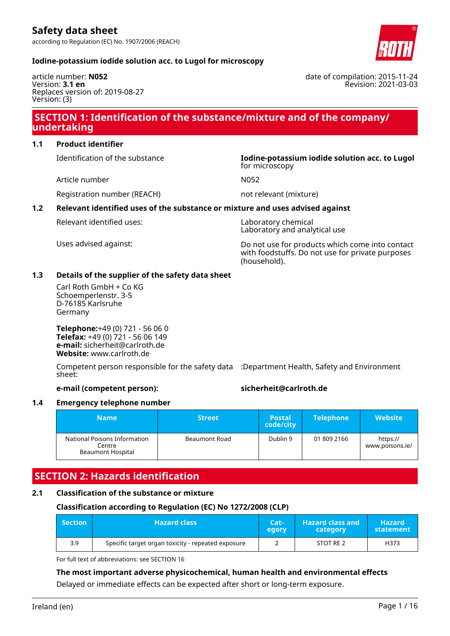according to Regulation (EC) No. 1907/2006 (REACH)



date of compilation: 2015-11-24

Revision: 2021-03-03

#### **Iodine-potassium iodide solution acc. to Lugol for microscopy**

article number: **N052** Version: **3.1 en** Replaces version of: 2019-08-27 Version: (3)

# **SECTION 1: Identification of the substance/mixture and of the company/ undertaking**

# **1.1 Product identifier**

Identification of the substance **Iodine-potassium iodide solution acc. to Lugol**

Article number N052

for microscopy

Registration number (REACH) not relevant (mixture)

### **1.2 Relevant identified uses of the substance or mixture and uses advised against**

Relevant identified uses: Laboratory chemical

Laboratory and analytical use

Uses advised against: Do not use for products which come into contact with foodstuffs. Do not use for private purposes (household).

#### **1.3 Details of the supplier of the safety data sheet**

Carl Roth GmbH + Co KG Schoemperlenstr. 3-5 D-76185 Karlsruhe Germany

**Telephone:**+49 (0) 721 - 56 06 0 **Telefax:** +49 (0) 721 - 56 06 149 **e-mail:** sicherheit@carlroth.de **Website:** www.carlroth.de

Competent person responsible for the safety data :Department Health, Safety and Environment sheet:

# **e-mail (competent person): sicherheit@carlroth.de**

#### **1.4 Emergency telephone number**

| <b>Name</b>                                                 | <b>Street</b> | <b>Postal</b><br>code/city | <b>Telephone</b> | <b>Website</b>              |
|-------------------------------------------------------------|---------------|----------------------------|------------------|-----------------------------|
| National Poisons Information<br>Centre<br>Beaumont Hospital | Beaumont Road | Dublin 9                   | 01 809 2166      | https://<br>www.poisons.ie/ |

# **SECTION 2: Hazards identification**

#### **2.1 Classification of the substance or mixture**

# **Classification according to Regulation (EC) No 1272/2008 (CLP)**

| $\blacksquare$ Section | <b>Hazard class</b>                                | $Cat-$<br>egory | <b>Hazard class and</b><br>category | <b>Hazard</b><br>statement |
|------------------------|----------------------------------------------------|-----------------|-------------------------------------|----------------------------|
| 3.9                    | Specific target organ toxicity - repeated exposure |                 | STOT RE 2                           | H373                       |

For full text of abbreviations: see SECTION 16

#### **The most important adverse physicochemical, human health and environmental effects**

Delayed or immediate effects can be expected after short or long-term exposure.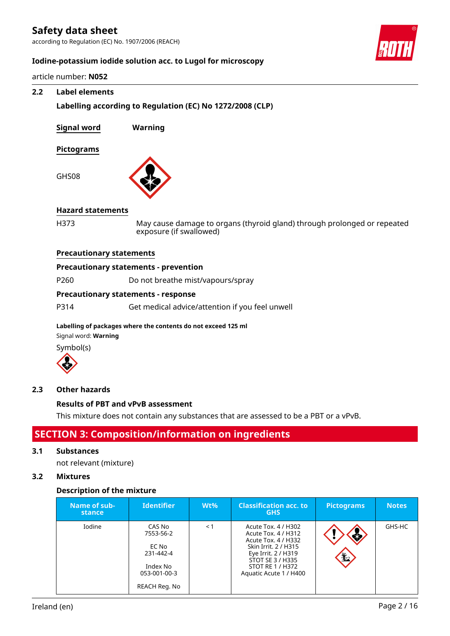according to Regulation (EC) No. 1907/2006 (REACH)



# **Iodine-potassium iodide solution acc. to Lugol for microscopy**

article number: **N052**

### **2.2 Label elements**

**Labelling according to Regulation (EC) No 1272/2008 (CLP)**

**Signal word Warning**

#### **Pictograms**

GHS08



#### **Hazard statements**

H373 May cause damage to organs (thyroid gland) through prolonged or repeated exposure (if swallowed)

#### **Precautionary statements**

#### **Precautionary statements - prevention**

P260 Do not breathe mist/vapours/spray

# **Precautionary statements - response**

P314 Get medical advice/attention if you feel unwell

#### **Labelling of packages where the contents do not exceed 125 ml**

Signal word: **Warning**





#### **2.3 Other hazards**

#### **Results of PBT and vPvB assessment**

This mixture does not contain any substances that are assessed to be a PBT or a vPvB.

# **SECTION 3: Composition/information on ingredients**

### **3.1 Substances**

not relevant (mixture)

# **3.2 Mixtures**

#### **Description of the mixture**

| Name of sub-<br>stance | <b>Identifier</b>                                                                      | $Wt\%$ | <b>Classification acc. to</b><br><b>GHS</b>                                                                                                                                        | <b>Pictograms</b> | <b>Notes</b> |
|------------------------|----------------------------------------------------------------------------------------|--------|------------------------------------------------------------------------------------------------------------------------------------------------------------------------------------|-------------------|--------------|
| Iodine                 | CAS No<br>7553-56-2<br>EC No<br>231-442-4<br>Index No<br>053-001-00-3<br>REACH Reg. No | < 1    | Acute Tox. 4 / H302<br>Acute Tox. 4 / H312<br>Acute Tox. 4 / H332<br>Skin Irrit, 2 / H315<br>Eye Irrit. 2 / H319<br>STOT SE 3 / H335<br>STOT RE 1 / H372<br>Aquatic Acute 1 / H400 | ₫<br><b>七</b>     | GHS-HC       |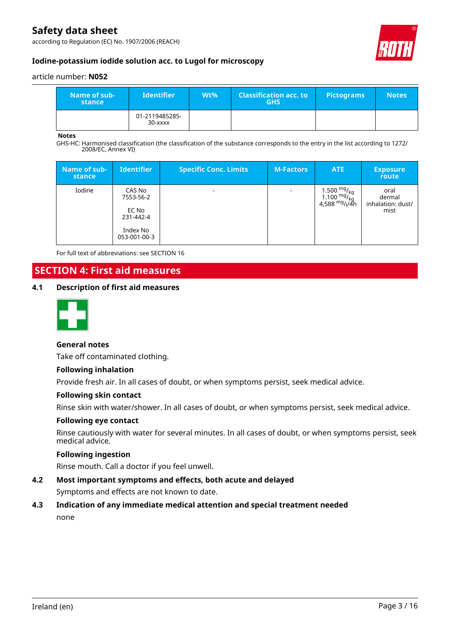according to Regulation (EC) No. 1907/2006 (REACH)



# **Iodine-potassium iodide solution acc. to Lugol for microscopy**

#### article number: **N052**

| Name of sub-<br>stance | <b>Identifier</b>         | Wt% | <b>Classification acc. to</b><br><b>GHS</b> | <b>Pictograms</b> | <b>Notes</b> |
|------------------------|---------------------------|-----|---------------------------------------------|-------------------|--------------|
|                        | 01-2119485285-<br>30-xxxx |     |                                             |                   |              |

#### **Notes**

GHS-HC: Harmonised classification (the classification of the substance corresponds to the entry in the list according to 1272/ 2008/EC, Annex VI)

| Name of sub-<br><b>stance</b> | <b>Identifier</b>                                                     | <b>Specific Conc. Limits</b> | <b>M-Factors</b>         | <b>ATE</b>                                                                                                           | <b>Exposure</b><br><b>route</b>             |
|-------------------------------|-----------------------------------------------------------------------|------------------------------|--------------------------|----------------------------------------------------------------------------------------------------------------------|---------------------------------------------|
| Iodine                        | CAS No<br>7553-56-2<br>EC No<br>231-442-4<br>Index No<br>053-001-00-3 | ۰                            | $\overline{\phantom{a}}$ | 1.500 <sup>mg</sup> / <sub>kg</sub><br>1.100 <sup>mg</sup> / <sub>kg</sub><br>4,588 <sup>mg</sup> / <sub>l</sub> /4h | oral<br>dermal<br>inhalation: dust/<br>mist |

For full text of abbreviations: see SECTION 16

# **SECTION 4: First aid measures**

#### **4.1 Description of first aid measures**



### **General notes**

Take off contaminated clothing.

#### **Following inhalation**

Provide fresh air. In all cases of doubt, or when symptoms persist, seek medical advice.

#### **Following skin contact**

Rinse skin with water/shower. In all cases of doubt, or when symptoms persist, seek medical advice.

#### **Following eye contact**

Rinse cautiously with water for several minutes. In all cases of doubt, or when symptoms persist, seek medical advice.

#### **Following ingestion**

Rinse mouth. Call a doctor if you feel unwell.

**4.2 Most important symptoms and effects, both acute and delayed**

Symptoms and effects are not known to date.

**4.3 Indication of any immediate medical attention and special treatment needed** none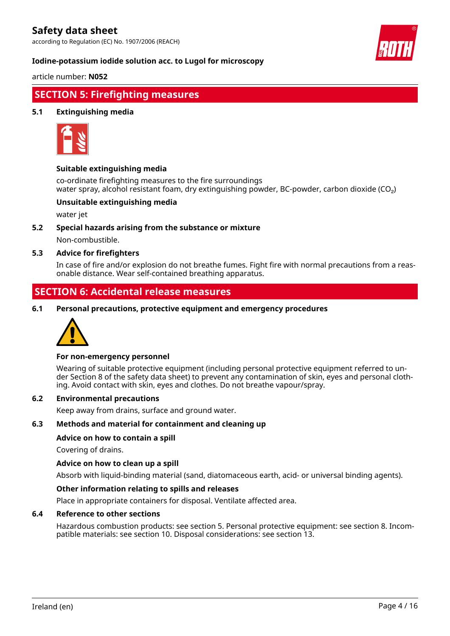according to Regulation (EC) No. 1907/2006 (REACH)



#### **Iodine-potassium iodide solution acc. to Lugol for microscopy**

article number: **N052**

# **SECTION 5: Firefighting measures**

### **5.1 Extinguishing media**



#### **Suitable extinguishing media**

co-ordinate firefighting measures to the fire surroundings water spray, alcohol resistant foam, dry extinguishing powder, BC-powder, carbon dioxide (CO<sub>2</sub>)

#### **Unsuitable extinguishing media**

water jet

# **5.2 Special hazards arising from the substance or mixture**

Non-combustible.

#### **5.3 Advice for firefighters**

In case of fire and/or explosion do not breathe fumes. Fight fire with normal precautions from a reasonable distance. Wear self-contained breathing apparatus.

# **SECTION 6: Accidental release measures**

**6.1 Personal precautions, protective equipment and emergency procedures**



#### **For non-emergency personnel**

Wearing of suitable protective equipment (including personal protective equipment referred to under Section 8 of the safety data sheet) to prevent any contamination of skin, eyes and personal clothing. Avoid contact with skin, eyes and clothes. Do not breathe vapour/spray.

### **6.2 Environmental precautions**

Keep away from drains, surface and ground water.

#### **6.3 Methods and material for containment and cleaning up**

#### **Advice on how to contain a spill**

Covering of drains.

#### **Advice on how to clean up a spill**

Absorb with liquid-binding material (sand, diatomaceous earth, acid- or universal binding agents).

#### **Other information relating to spills and releases**

Place in appropriate containers for disposal. Ventilate affected area.

#### **6.4 Reference to other sections**

Hazardous combustion products: see section 5. Personal protective equipment: see section 8. Incompatible materials: see section 10. Disposal considerations: see section 13.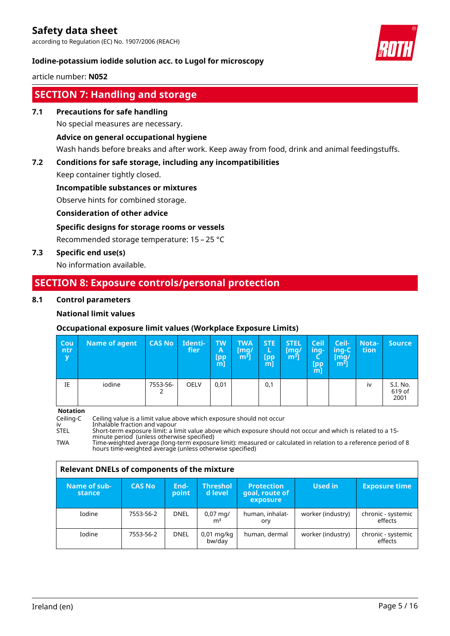according to Regulation (EC) No. 1907/2006 (REACH)



# **Iodine-potassium iodide solution acc. to Lugol for microscopy**

article number: **N052**

# **SECTION 7: Handling and storage**

**7.1 Precautions for safe handling**

No special measures are necessary.

### **Advice on general occupational hygiene**

Wash hands before breaks and after work. Keep away from food, drink and animal feedingstuffs.

# **7.2 Conditions for safe storage, including any incompatibilities**

Keep container tightly closed.

#### **Incompatible substances or mixtures**

Observe hints for combined storage.

#### **Consideration of other advice**

### **Specific designs for storage rooms or vessels**

Recommended storage temperature: 15 – 25 °C

### **7.3 Specific end use(s)**

No information available.

# **SECTION 8: Exposure controls/personal protection**

#### **8.1 Control parameters**

### **National limit values**

# **Occupational exposure limit values (Workplace Exposure Limits)**

| <b>Cou</b><br>ntr<br>$\mathbf v$ | <b>Name of agent</b> | <b>CAS No</b> | Identi-<br>fier | <b>TW</b><br>A<br>[pp<br>mľ | <b>TWA</b><br>[mq/<br>$[m^3]$ | <b>STE</b><br>[pp<br>m] | <b>STEL</b><br>[mg/<br>m <sup>3</sup> | <b>Ceil</b><br>'inq-,<br>[pp<br>m] | Ceil-<br>ing-C<br>[mq/<br>$[m^3]$ | <b>Nota-</b><br>tion | <b>Source</b>              |
|----------------------------------|----------------------|---------------|-----------------|-----------------------------|-------------------------------|-------------------------|---------------------------------------|------------------------------------|-----------------------------------|----------------------|----------------------------|
| IE                               | iodine               | 7553-56-<br>∠ | OELV            | 0,01                        |                               | 0,1                     |                                       |                                    |                                   | iv                   | S.I. No.<br>619 of<br>2001 |

**Notation**

Ceiling-C Ceiling value is a limit value above which exposure should not occur<br>iv a limit alimit value above which exposure shoul<br>STEL Short-term exposure limit: a limit value above which exposure shoul

iv Inhalable fraction and vapour

STEL Short-term exposure limit: a limit value above which exposure should not occur and which is related to a 15 minute period (unless otherwise specified)

TWA Time-weighted average (long-term exposure limit): measured or calculated in relation to a reference period of 8 hours time-weighted average (unless otherwise specified)

| <b>Relevant DNELs of components of the mixture</b> |               |               |                                        |                                                 |                   |                               |  |  |  |
|----------------------------------------------------|---------------|---------------|----------------------------------------|-------------------------------------------------|-------------------|-------------------------------|--|--|--|
| Name of sub-<br>stance                             | <b>CAS No</b> | End-<br>point | <b>Threshol</b><br>d level             | <b>Protection</b><br>goal, route of<br>exposure | Used in           | <b>Exposure time</b>          |  |  |  |
| Iodine                                             | 7553-56-2     | <b>DNEL</b>   | $0,07 \,\mathrm{mq}$<br>m <sup>3</sup> | human, inhalat-<br>ory                          | worker (industry) | chronic - systemic<br>effects |  |  |  |
| Iodine                                             | 7553-56-2     | <b>DNEL</b>   | $0.01$ mg/kg<br>bw/day                 | human, dermal                                   | worker (industry) | chronic - systemic<br>effects |  |  |  |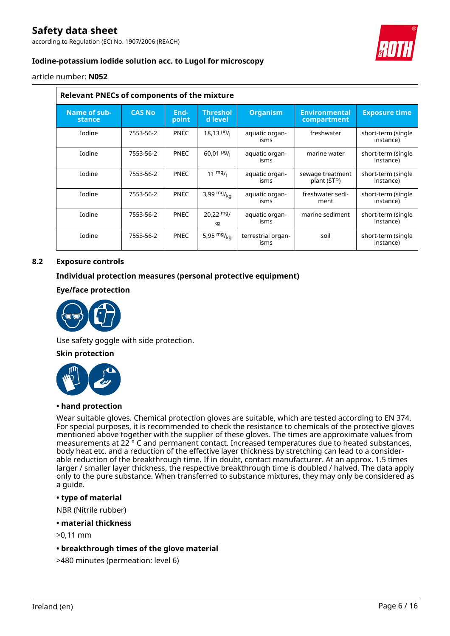according to Regulation (EC) No. 1907/2006 (REACH)



# **Iodine-potassium iodide solution acc. to Lugol for microscopy**

article number: **N052**

| <b>Relevant PNECs of components of the mixture</b> |               |               |                                |                            |                                     |                                 |  |  |  |
|----------------------------------------------------|---------------|---------------|--------------------------------|----------------------------|-------------------------------------|---------------------------------|--|--|--|
| Name of sub-<br>stance                             | <b>CAS No</b> | End-<br>point | <b>Threshol</b><br>d level     | <b>Organism</b>            | <b>Environmental</b><br>compartment | <b>Exposure time</b>            |  |  |  |
| Iodine                                             | 7553-56-2     | <b>PNEC</b>   | $18,13$ $^{19}$ / <sub>1</sub> | aquatic organ-<br>isms     | freshwater                          | short-term (single<br>instance) |  |  |  |
| <b>Iodine</b>                                      | 7553-56-2     | <b>PNEC</b>   | $60,01 \frac{\mu g}{\mu}$      | aquatic organ-<br>isms     | marine water                        | short-term (single<br>instance) |  |  |  |
| Iodine                                             | 7553-56-2     | <b>PNEC</b>   | $11 \frac{mg}{l}$              | aquatic organ-<br>isms     | sewage treatment<br>plant (STP)     | short-term (single<br>instance) |  |  |  |
| <b>Iodine</b>                                      | 7553-56-2     | <b>PNEC</b>   | 3,99 $mg/m$ <sub>ka</sub>      | aquatic organ-<br>isms     | freshwater sedi-<br>ment            | short-term (single<br>instance) |  |  |  |
| Iodine                                             | 7553-56-2     | <b>PNEC</b>   | $20,22 \text{ mg}$<br>kg       | aquatic organ-<br>isms     | marine sediment                     | short-term (single<br>instance) |  |  |  |
| Iodine                                             | 7553-56-2     | <b>PNEC</b>   | 5,95 $mg/_{ka}$                | terrestrial organ-<br>isms | soil                                | short-term (single<br>instance) |  |  |  |

# **8.2 Exposure controls**

### **Individual protection measures (personal protective equipment)**

### **Eye/face protection**



Use safety goggle with side protection.

#### **Skin protection**



#### **• hand protection**

Wear suitable gloves. Chemical protection gloves are suitable, which are tested according to EN 374. For special purposes, it is recommended to check the resistance to chemicals of the protective gloves mentioned above together with the supplier of these gloves. The times are approximate values from measurements at 22 ° C and permanent contact. Increased temperatures due to heated substances, body heat etc. and a reduction of the effective layer thickness by stretching can lead to a considerable reduction of the breakthrough time. If in doubt, contact manufacturer. At an approx. 1.5 times larger / smaller layer thickness, the respective breakthrough time is doubled / halved. The data apply only to the pure substance. When transferred to substance mixtures, they may only be considered as a guide.

#### **• type of material**

NBR (Nitrile rubber)

- **material thickness**
- >0,11 mm
- **breakthrough times of the glove material**
- >480 minutes (permeation: level 6)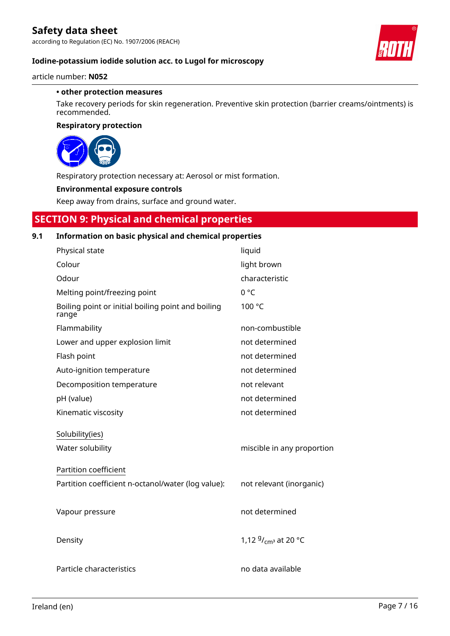according to Regulation (EC) No. 1907/2006 (REACH)



### **Iodine-potassium iodide solution acc. to Lugol for microscopy**

article number: **N052**

#### **• other protection measures**

Take recovery periods for skin regeneration. Preventive skin protection (barrier creams/ointments) is recommended.

#### **Respiratory protection**



Respiratory protection necessary at: Aerosol or mist formation.

#### **Environmental exposure controls**

Keep away from drains, surface and ground water.

# **SECTION 9: Physical and chemical properties**

# **9.1 Information on basic physical and chemical properties**

| Physical state                                              | liquid                     |
|-------------------------------------------------------------|----------------------------|
| Colour                                                      | light brown                |
| Odour                                                       | characteristic             |
| Melting point/freezing point                                | 0 °C                       |
| Boiling point or initial boiling point and boiling<br>range | 100 °C                     |
| Flammability                                                | non-combustible            |
| Lower and upper explosion limit                             | not determined             |
| Flash point                                                 | not determined             |
| Auto-ignition temperature                                   | not determined             |
| Decomposition temperature                                   | not relevant               |
| pH (value)                                                  | not determined             |
| Kinematic viscosity                                         | not determined             |
| Solubility(ies)                                             |                            |
| Water solubility                                            | miscible in any proportion |
| Partition coefficient                                       |                            |
| Partition coefficient n-octanol/water (log value):          | not relevant (inorganic)   |
|                                                             |                            |
| Vapour pressure                                             | not determined             |
|                                                             |                            |
| Density                                                     | 1,12 $9/_{cm^3}$ at 20 °C  |
|                                                             |                            |
| Particle characteristics                                    | no data available          |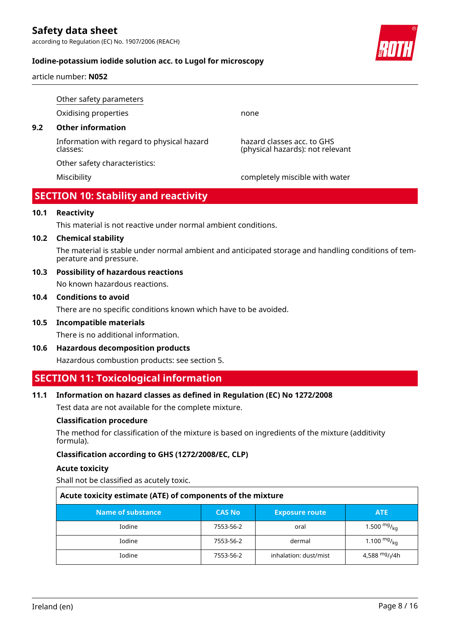according to Regulation (EC) No. 1907/2006 (REACH)



article number: **N052**

Other safety parameters Oxidising properties none **9.2 Other information** Information with regard to physical hazard classes: hazard classes acc. to GHS (physical hazards): not relevant Other safety characteristics:

Miscibility completely miscible with water

# **SECTION 10: Stability and reactivity**

# **10.1 Reactivity**

This material is not reactive under normal ambient conditions.

#### **10.2 Chemical stability**

The material is stable under normal ambient and anticipated storage and handling conditions of temperature and pressure.

**10.3 Possibility of hazardous reactions** No known hazardous reactions.

#### **10.4 Conditions to avoid**

There are no specific conditions known which have to be avoided.

# **10.5 Incompatible materials**

There is no additional information.

**10.6 Hazardous decomposition products**

Hazardous combustion products: see section 5.

# **SECTION 11: Toxicological information**

#### **11.1 Information on hazard classes as defined in Regulation (EC) No 1272/2008**

Test data are not available for the complete mixture.

#### **Classification procedure**

The method for classification of the mixture is based on ingredients of the mixture (additivity formula).

#### **Classification according to GHS (1272/2008/EC, CLP)**

#### **Acute toxicity**

Shall not be classified as acutely toxic.

| Acute toxicity estimate (ATE) of components of the mixture |               |                       |                                        |  |  |  |
|------------------------------------------------------------|---------------|-----------------------|----------------------------------------|--|--|--|
| Name of substance                                          | <b>CAS No</b> | <b>Exposure route</b> | <b>ATE</b>                             |  |  |  |
| <b>Iodine</b>                                              | 7553-56-2     | oral                  | 1.500 $mg/_{ka}$                       |  |  |  |
| <b>Iodine</b>                                              | 7553-56-2     | dermal                | 1.100 $mg/kq$                          |  |  |  |
| Iodine                                                     | 7553-56-2     | inhalation: dust/mist | 4,588 <sup>mg</sup> / <sub>l</sub> /4h |  |  |  |

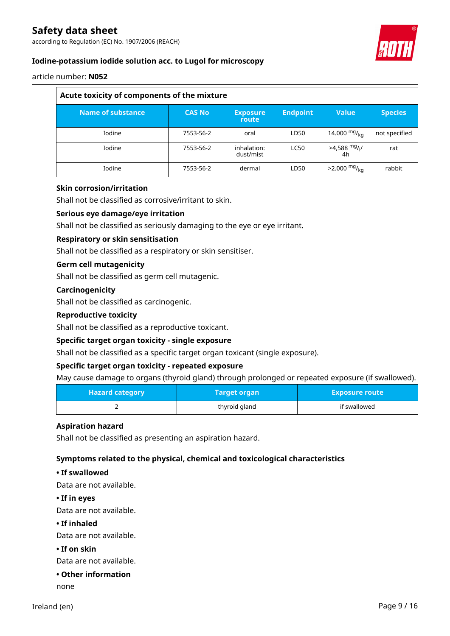according to Regulation (EC) No. 1907/2006 (REACH)



# **Iodine-potassium iodide solution acc. to Lugol for microscopy**

article number: **N052**

| Acute toxicity of components of the mixture |               |                          |                 |                                   |                |  |  |
|---------------------------------------------|---------------|--------------------------|-----------------|-----------------------------------|----------------|--|--|
| Name of substance                           | <b>CAS No</b> | <b>Exposure</b><br>route | <b>Endpoint</b> | <b>Value</b>                      | <b>Species</b> |  |  |
| Iodine                                      | 7553-56-2     | oral                     | LD50            | 14.000 $mg/_{ka}$                 | not specified  |  |  |
| <b>Iodine</b>                               | 7553-56-2     | inhalation:<br>dust/mist | <b>LC50</b>     | $>4,588$ mg/ <sub>I</sub> /<br>4h | rat            |  |  |
| Iodine                                      | 7553-56-2     | dermal                   | LD50            | $>2.000$ mg/ <sub>kg</sub>        | rabbit         |  |  |

### **Skin corrosion/irritation**

Shall not be classified as corrosive/irritant to skin.

### **Serious eye damage/eye irritation**

Shall not be classified as seriously damaging to the eye or eye irritant.

#### **Respiratory or skin sensitisation**

Shall not be classified as a respiratory or skin sensitiser.

#### **Germ cell mutagenicity**

Shall not be classified as germ cell mutagenic.

#### **Carcinogenicity**

Shall not be classified as carcinogenic.

#### **Reproductive toxicity**

Shall not be classified as a reproductive toxicant.

#### **Specific target organ toxicity - single exposure**

Shall not be classified as a specific target organ toxicant (single exposure).

#### **Specific target organ toxicity - repeated exposure**

May cause damage to organs (thyroid gland) through prolonged or repeated exposure (if swallowed).

| <b>Hazard category</b> | <b>Target organ</b> | <b>Exposure route</b> |
|------------------------|---------------------|-----------------------|
|                        | thyroid gland       | if swallowed          |

#### **Aspiration hazard**

Shall not be classified as presenting an aspiration hazard.

#### **Symptoms related to the physical, chemical and toxicological characteristics**

#### **• If swallowed**

Data are not available.

**• If in eyes**

Data are not available.

**• If inhaled**

Data are not available.

**• If on skin**

Data are not available.

**• Other information**

none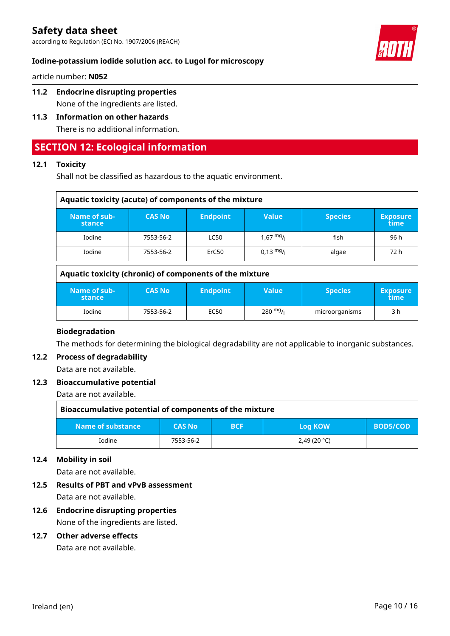according to Regulation (EC) No. 1907/2006 (REACH)



### **Iodine-potassium iodide solution acc. to Lugol for microscopy**

article number: **N052**

**11.2 Endocrine disrupting properties** None of the ingredients are listed.

# **11.3 Information on other hazards** There is no additional information.

# **SECTION 12: Ecological information**

# **12.1 Toxicity**

Shall not be classified as hazardous to the aquatic environment.

| Aquatic toxicity (acute) of components of the mixture |               |                 |                     |                |                         |
|-------------------------------------------------------|---------------|-----------------|---------------------|----------------|-------------------------|
| Name of sub-<br>stance                                | <b>CAS No</b> | <b>Endpoint</b> | <b>Value</b>        | <b>Species</b> | <b>Exposure</b><br>time |
| Iodine                                                | 7553-56-2     | <b>LC50</b>     | $1,67 \frac{mg}{l}$ | fish           | 96 h                    |
| Iodine                                                | 7553-56-2     | ErC50           | $0.13 \text{ mg}$ / | algae          | 72 h                    |

### **Aquatic toxicity (chronic) of components of the mixture**

| Name of sub-<br>stance | <b>CAS No</b> | <b>Endpoint</b> | Value              | <b>Species</b> | <b>Exposure</b><br>\time\ |
|------------------------|---------------|-----------------|--------------------|----------------|---------------------------|
| Iodine                 | 7553-56-2     | EC50            | $280 \frac{mg}{l}$ | microorganisms | 3 h                       |

#### **Biodegradation**

The methods for determining the biological degradability are not applicable to inorganic substances.

### **12.2 Process of degradability**

Data are not available.

#### **12.3 Bioaccumulative potential**

Data are not available.

| Bioaccumulative potential of components of the mixture |               |            |                |                 |
|--------------------------------------------------------|---------------|------------|----------------|-----------------|
| Name of substance                                      | <b>CAS No</b> | <b>BCF</b> | <b>Log KOW</b> | <b>BOD5/COD</b> |
| <b>Iodine</b>                                          | 7553-56-2     |            | 2,49(20 °C)    |                 |

# **12.4 Mobility in soil**

Data are not available.

- **12.5 Results of PBT and vPvB assessment** Data are not available.
- **12.6 Endocrine disrupting properties** None of the ingredients are listed.

### **12.7 Other adverse effects**

Data are not available.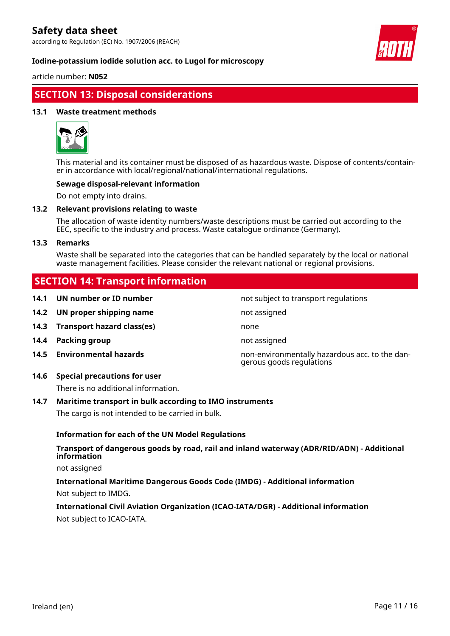according to Regulation (EC) No. 1907/2006 (REACH)



#### **Iodine-potassium iodide solution acc. to Lugol for microscopy**

article number: **N052**

# **SECTION 13: Disposal considerations**

#### **13.1 Waste treatment methods**



This material and its container must be disposed of as hazardous waste. Dispose of contents/container in accordance with local/regional/national/international regulations.

#### **Sewage disposal-relevant information**

Do not empty into drains.

#### **13.2 Relevant provisions relating to waste**

The allocation of waste identity numbers/waste descriptions must be carried out according to the EEC, specific to the industry and process. Waste catalogue ordinance (Germany).

#### **13.3 Remarks**

Waste shall be separated into the categories that can be handled separately by the local or national waste management facilities. Please consider the relevant national or regional provisions.

# **SECTION 14: Transport information**

- **14.1 UN number or ID number not subject to transport regulations**
- **14.2 UN proper shipping name** not assigned
- **14.3 Transport hazard class(es)** none
- **14.4 Packing group not assigned**
- 
- **14.6 Special precautions for user**

There is no additional information.

#### **14.7 Maritime transport in bulk according to IMO instruments**

The cargo is not intended to be carried in bulk.

#### **Information for each of the UN Model Regulations**

### **Transport of dangerous goods by road, rail and inland waterway (ADR/RID/ADN) - Additional information**

not assigned

**International Maritime Dangerous Goods Code (IMDG) - Additional information** Not subject to IMDG.

# **International Civil Aviation Organization (ICAO-IATA/DGR) - Additional information** Not subject to ICAO-IATA.

**14.5 Environmental hazards** non-environmentally hazardous acc. to the dangerous goods regulations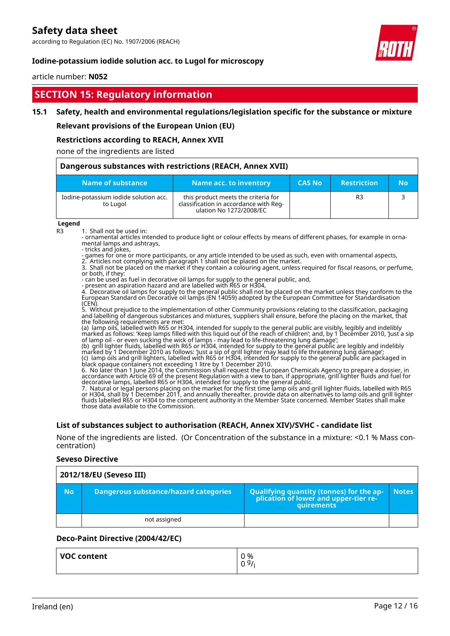according to Regulation (EC) No. 1907/2006 (REACH)

#### **Iodine-potassium iodide solution acc. to Lugol for microscopy**

#### article number: **N052**

# **SECTION 15: Regulatory information**

#### **15.1 Safety, health and environmental regulations/legislation specific for the substance or mixture**

#### **Relevant provisions of the European Union (EU)**

#### **Restrictions according to REACH, Annex XVII**

#### none of the ingredients are listed

| Dangerous substances with restrictions (REACH, Annex XVII) |                                                                                                          |               |                    |           |
|------------------------------------------------------------|----------------------------------------------------------------------------------------------------------|---------------|--------------------|-----------|
| Name of substance                                          | Name acc. to inventory                                                                                   | <b>CAS No</b> | <b>Restriction</b> | <b>No</b> |
| Iodine-potassium iodide solution acc.<br>to Lugol          | this product meets the criteria for<br>classification in accordance with Req-<br>ulation No 1272/2008/EC |               | R3                 |           |

#### **Legend**

R3 1. Shall not be used in:

- ornamental articles intended to produce light or colour effects by means of different phases, for example in ornamental lamps and ashtrays,

- tricks and jokes, - games for one or more participants, or any article intended to be used as such, even with ornamental aspects,

2. Articles not complying with paragraph 1 shall not be placed on the market.

3. Shall not be placed on the market if they contain a colouring agent, unless required for fiscal reasons, or perfume, or both, if they:

- can be used as fuel in decorative oil lamps for supply to the general public, and,

- present an aspiration hazard and are labelled with R65 or H304,

4. Decorative oil lamps for supply to the general public shall not be placed on the market unless they conform to the European Standard on Decorative oil lamps (EN 14059) adopted by the European Committee for Standardisation (CEN).

5. Without prejudice to the implementation of other Community provisions relating to the classification, packaging and labelling of dangerous substances and mixtures, suppliers shall ensure, before the placing on the market, that the following requirements are met:

(a) lamp oils, labelled with R65 or H304, intended for supply to the general public are visibly, legibly and indelibly marked as follows: 'Keep lamps filled with this liquid out of the reach of children'; and, by 1 December 2010, 'Just a sip of lamp oil - or even sucking the wick of lamps - may lead to life-threatening lung damage';

(b) grill lighter fluids, labelled with R65 or H304, intended for supply to the general public are legibly and indelibly marked by 1 December 2010 as follows: 'Just a sip of grill lighter may lead to life threatening lung damage'; (c) lamp oils and grill lighters, labelled with R65 or H304, intended for supply to the general public are packaged in black opaque containers not exceeding 1 litre by 1 December 2010.

6. No later than 1 June 2014, the Commission shall request the European Chemicals Agency to prepare a dossier, in accordance with Article 69 of the present Regulation with a view to ban, if appropriate, grill lighter fluids and fuel for decorative lamps, labelled R65 or H304, intended for supply to the general public.

7. Natural or legal persons placing on the market for the first time lamp oils and grill lighter fluids, labelled with R65 or H304, shall by 1 December 2011, and annually thereafter, provide data on alternatives to lamp oils and grill lighter fluids labelled R65 or H304 to the competent authority in the Member State concerned. Member States shall make those data available to the Commission.

#### **List of substances subject to authorisation (REACH, Annex XIV)/SVHC - candidate list**

None of the ingredients are listed. (Or Concentration of the substance in a mixture: <0.1 % Mass concentration)

#### **Seveso Directive**

|           | 2012/18/EU (Seveso III)                      |                                                                                                   |              |  |
|-----------|----------------------------------------------|---------------------------------------------------------------------------------------------------|--------------|--|
| <b>No</b> | <b>Dangerous substance/hazard categories</b> | Qualifying quantity (tonnes) for the application of lower and upper-tier re-<br><b>auirements</b> | <b>Notes</b> |  |
|           | not assigned                                 |                                                                                                   |              |  |

#### **Deco-Paint Directive (2004/42/EC)**

| <b>VOC content</b> | 0 %<br>09/ |
|--------------------|------------|
|                    |            |

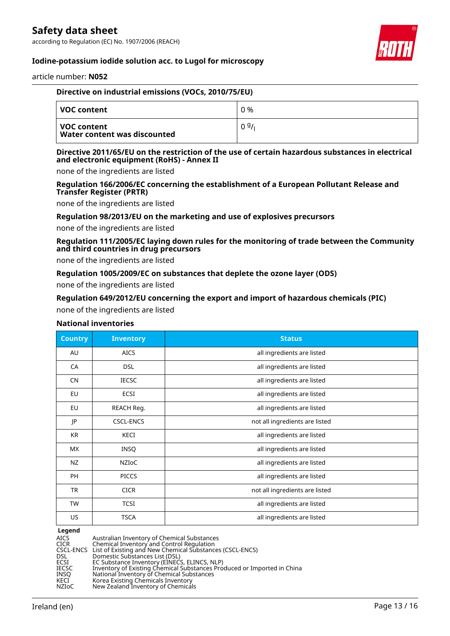according to Regulation (EC) No. 1907/2006 (REACH)



### **Iodine-potassium iodide solution acc. to Lugol for microscopy**

article number: **N052**

| Directive on industrial emissions (VOCs, 2010/75/EU) |      |
|------------------------------------------------------|------|
| VOC content                                          | 0 %  |
| l VOC content<br><b>Water content was discounted</b> | 09/1 |

#### **Directive 2011/65/EU on the restriction of the use of certain hazardous substances in electrical and electronic equipment (RoHS) - Annex II**

none of the ingredients are listed

#### **Regulation 166/2006/EC concerning the establishment of a European Pollutant Release and Transfer Register (PRTR)**

none of the ingredients are listed

#### **Regulation 98/2013/EU on the marketing and use of explosives precursors**

none of the ingredients are listed

**Regulation 111/2005/EC laying down rules for the monitoring of trade between the Community and third countries in drug precursors**

none of the ingredients are listed

#### **Regulation 1005/2009/EC on substances that deplete the ozone layer (ODS)**

none of the ingredients are listed

#### **Regulation 649/2012/EU concerning the export and import of hazardous chemicals (PIC)**

none of the ingredients are listed

#### **National inventories**

| <b>Country</b> | <b>Inventory</b> | <b>Status</b>                  |
|----------------|------------------|--------------------------------|
| AU             | <b>AICS</b>      | all ingredients are listed     |
| CA             | <b>DSL</b>       | all ingredients are listed     |
| <b>CN</b>      | <b>IECSC</b>     | all ingredients are listed     |
| EU             | ECSI             | all ingredients are listed     |
| EU             | REACH Reg.       | all ingredients are listed     |
| JP             | <b>CSCL-ENCS</b> | not all ingredients are listed |
| <b>KR</b>      | KECI             | all ingredients are listed     |
| МX             | <b>INSQ</b>      | all ingredients are listed     |
| NZ             | <b>NZIOC</b>     | all ingredients are listed     |
| <b>PH</b>      | <b>PICCS</b>     | all ingredients are listed     |
| TR             | <b>CICR</b>      | not all ingredients are listed |
| <b>TW</b>      | <b>TCSI</b>      | all ingredients are listed     |
| US             | <b>TSCA</b>      | all ingredients are listed     |

**Legend**<br>AICS<br>CICR<br>CSCL-ENCS<br>DSL<br>ECSI Australian Inventory of Chemical Substances CICR Chemical Inventory and Control Regulation CSCL-ENCS List of Existing and New Chemical Substances (CSCL-ENCS) DSL Domestic Substances List (DSL) ECSI EC Substance Inventory (EINECS, ELINCS, NLP) IECSC Inventory of Existing Chemical Substances Produced or Imported in China INSQ National Inventory of Chemical Substances KECI Korea Existing Chemicals Inventory NZIoC New Zealand Inventory of Chemicals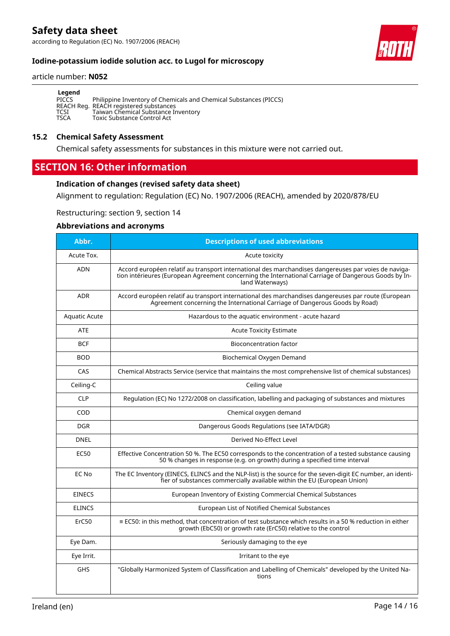according to Regulation (EC) No. 1907/2006 (REACH)



# **Iodine-potassium iodide solution acc. to Lugol for microscopy**

#### article number: **N052**

| Legend      |                                                                   |
|-------------|-------------------------------------------------------------------|
| PICCS       | Philippine Inventory of Chemicals and Chemical Substances (PICCS) |
|             | REACH Reg. REACH registered substances                            |
| TCSI        | Taiwan Chemical Substance Inventory                               |
| <b>TSCA</b> | Toxic Substance Control Act                                       |

#### **15.2 Chemical Safety Assessment**

Chemical safety assessments for substances in this mixture were not carried out.

# **SECTION 16: Other information**

#### **Indication of changes (revised safety data sheet)**

Alignment to regulation: Regulation (EC) No. 1907/2006 (REACH), amended by 2020/878/EU

Restructuring: section 9, section 14

#### **Abbreviations and acronyms**

| Abbr.         | <b>Descriptions of used abbreviations</b>                                                                                                                                                                                       |
|---------------|---------------------------------------------------------------------------------------------------------------------------------------------------------------------------------------------------------------------------------|
| Acute Tox.    | Acute toxicity                                                                                                                                                                                                                  |
| <b>ADN</b>    | Accord européen relatif au transport international des marchandises dangereuses par voies de naviga-<br>tion intérieures (European Agreement concerning the International Carriage of Dangerous Goods by In-<br>land Waterways) |
| <b>ADR</b>    | Accord européen relatif au transport international des marchandises dangereuses par route (European<br>Agreement concerning the International Carriage of Dangerous Goods by Road)                                              |
| Aquatic Acute | Hazardous to the aquatic environment - acute hazard                                                                                                                                                                             |
| <b>ATE</b>    | <b>Acute Toxicity Estimate</b>                                                                                                                                                                                                  |
| <b>BCF</b>    | <b>Bioconcentration factor</b>                                                                                                                                                                                                  |
| <b>BOD</b>    | Biochemical Oxygen Demand                                                                                                                                                                                                       |
| CAS           | Chemical Abstracts Service (service that maintains the most comprehensive list of chemical substances)                                                                                                                          |
| Ceiling-C     | Ceiling value                                                                                                                                                                                                                   |
| <b>CLP</b>    | Regulation (EC) No 1272/2008 on classification, labelling and packaging of substances and mixtures                                                                                                                              |
| COD           | Chemical oxygen demand                                                                                                                                                                                                          |
| <b>DGR</b>    | Dangerous Goods Regulations (see IATA/DGR)                                                                                                                                                                                      |
| <b>DNEL</b>   | Derived No-Effect Level                                                                                                                                                                                                         |
| <b>EC50</b>   | Effective Concentration 50 %. The EC50 corresponds to the concentration of a tested substance causing<br>50 % changes in response (e.g. on growth) during a specified time interval                                             |
| EC No         | The EC Inventory (EINECS, ELINCS and the NLP-list) is the source for the seven-digit EC number, an identi-<br>fier of substances commercially available within the EU (European Union)                                          |
| <b>EINECS</b> | European Inventory of Existing Commercial Chemical Substances                                                                                                                                                                   |
| <b>ELINCS</b> | European List of Notified Chemical Substances                                                                                                                                                                                   |
| ErC50         | $\equiv$ EC50: in this method, that concentration of test substance which results in a 50 % reduction in either<br>growth (EbC50) or growth rate (ErC50) relative to the control                                                |
| Eye Dam.      | Seriously damaging to the eye                                                                                                                                                                                                   |
| Eye Irrit.    | Irritant to the eye                                                                                                                                                                                                             |
| <b>GHS</b>    | "Globally Harmonized System of Classification and Labelling of Chemicals" developed by the United Na-<br>tions                                                                                                                  |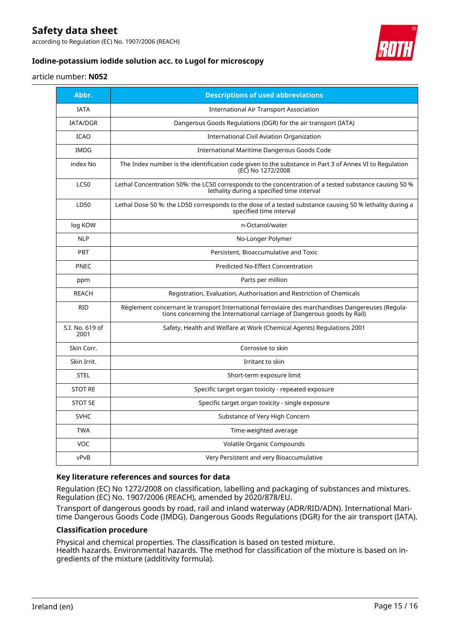according to Regulation (EC) No. 1907/2006 (REACH)



# **Iodine-potassium iodide solution acc. to Lugol for microscopy**

#### article number: **N052**

| Abbr.                   | <b>Descriptions of used abbreviations</b>                                                                                                                                    |
|-------------------------|------------------------------------------------------------------------------------------------------------------------------------------------------------------------------|
| <b>IATA</b>             | <b>International Air Transport Association</b>                                                                                                                               |
| <b>IATA/DGR</b>         | Dangerous Goods Regulations (DGR) for the air transport (IATA)                                                                                                               |
| <b>ICAO</b>             | International Civil Aviation Organization                                                                                                                                    |
| <b>IMDG</b>             | International Maritime Dangerous Goods Code                                                                                                                                  |
| index No                | The Index number is the identification code given to the substance in Part 3 of Annex VI to Regulation<br>(EC) No 1272/2008                                                  |
| <b>LC50</b>             | Lethal Concentration 50%: the LC50 corresponds to the concentration of a tested substance causing 50 %<br>lethality during a specified time interval                         |
| LD50                    | Lethal Dose 50 %: the LD50 corresponds to the dose of a tested substance causing 50 % lethality during a<br>specified time interval                                          |
| log KOW                 | n-Octanol/water                                                                                                                                                              |
| <b>NLP</b>              | No-Longer Polymer                                                                                                                                                            |
| PBT                     | Persistent, Bioaccumulative and Toxic                                                                                                                                        |
| <b>PNEC</b>             | <b>Predicted No-Effect Concentration</b>                                                                                                                                     |
| ppm                     | Parts per million                                                                                                                                                            |
| <b>REACH</b>            | Registration, Evaluation, Authorisation and Restriction of Chemicals                                                                                                         |
| <b>RID</b>              | Règlement concernant le transport International ferroviaire des marchandises Dangereuses (Regula-<br>tions concerning the International carriage of Dangerous goods by Rail) |
| S.I. No. 619 of<br>2001 | Safety, Health and Welfare at Work (Chemical Agents) Regulations 2001                                                                                                        |
| Skin Corr.              | Corrosive to skin                                                                                                                                                            |
| Skin Irrit.             | Irritant to skin                                                                                                                                                             |
| <b>STEL</b>             | Short-term exposure limit                                                                                                                                                    |
| <b>STOT RE</b>          | Specific target organ toxicity - repeated exposure                                                                                                                           |
| <b>STOT SE</b>          | Specific target organ toxicity - single exposure                                                                                                                             |
| <b>SVHC</b>             | Substance of Very High Concern                                                                                                                                               |
| <b>TWA</b>              | Time-weighted average                                                                                                                                                        |
| <b>VOC</b>              | Volatile Organic Compounds                                                                                                                                                   |
| vPvB                    | Very Persistent and very Bioaccumulative                                                                                                                                     |

#### **Key literature references and sources for data**

Regulation (EC) No 1272/2008 on classification, labelling and packaging of substances and mixtures. Regulation (EC) No. 1907/2006 (REACH), amended by 2020/878/EU.

Transport of dangerous goods by road, rail and inland waterway (ADR/RID/ADN). International Maritime Dangerous Goods Code (IMDG). Dangerous Goods Regulations (DGR) for the air transport (IATA).

#### **Classification procedure**

Physical and chemical properties. The classification is based on tested mixture. Health hazards. Environmental hazards. The method for classification of the mixture is based on ingredients of the mixture (additivity formula).